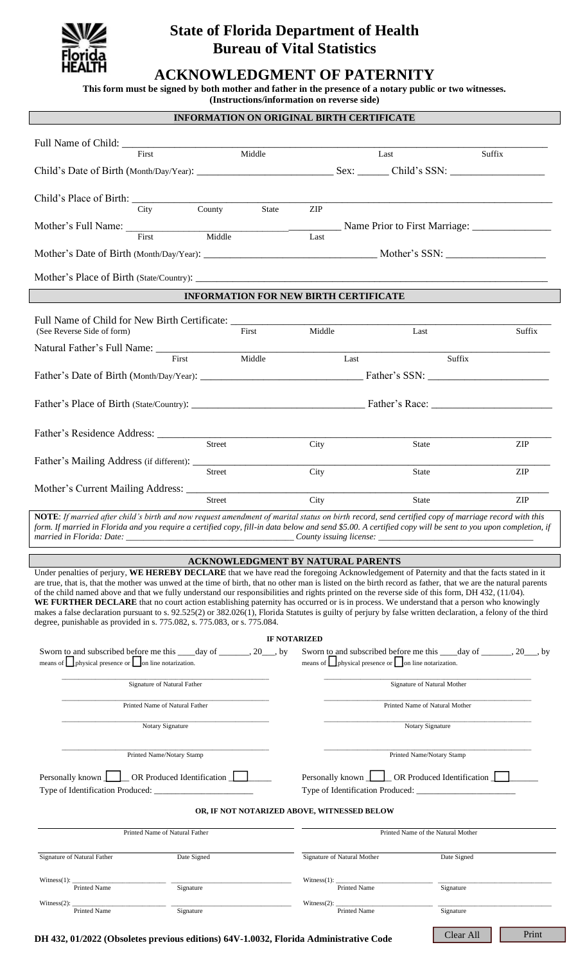

# **State of Florida Department of Health Bureau of Vital Statistics**

## **ACKNOWLEDGMENT OF PATERNITY**

**This form must be signed by both mother and father in the presence of a notary public or two witnesses.**

**(Instructions/information on reverse side)**

| <b>INFORMATION ON ORIGINAL BIRTH CERTIFICATE</b>                                                                                                                                                                                                                                                                 |                                                                   |                                    |
|------------------------------------------------------------------------------------------------------------------------------------------------------------------------------------------------------------------------------------------------------------------------------------------------------------------|-------------------------------------------------------------------|------------------------------------|
|                                                                                                                                                                                                                                                                                                                  |                                                                   |                                    |
| Middle<br>First                                                                                                                                                                                                                                                                                                  | Last                                                              | Suffix                             |
|                                                                                                                                                                                                                                                                                                                  |                                                                   |                                    |
|                                                                                                                                                                                                                                                                                                                  |                                                                   |                                    |
|                                                                                                                                                                                                                                                                                                                  |                                                                   |                                    |
| County State<br>City                                                                                                                                                                                                                                                                                             | ZIP                                                               |                                    |
| Mother's Full Name: First Marriage: First Marriage: First Marriage: First Marriage: First Marriage: First Marriage: First Marriage: First Marriage: First Marriage: First Marriage: First Marriage: First Marriage: First Marr                                                                                   |                                                                   |                                    |
|                                                                                                                                                                                                                                                                                                                  |                                                                   |                                    |
|                                                                                                                                                                                                                                                                                                                  |                                                                   |                                    |
|                                                                                                                                                                                                                                                                                                                  |                                                                   |                                    |
| <b>INFORMATION FOR NEW BIRTH CERTIFICATE</b>                                                                                                                                                                                                                                                                     |                                                                   |                                    |
| Full Name of Child for New Birth Certificate: ___________________________________                                                                                                                                                                                                                                |                                                                   |                                    |
| $\rm First$<br>(See Reverse Side of form)                                                                                                                                                                                                                                                                        | Middle                                                            | Last<br>Suffix                     |
| Natural Father's Full Name: First Middle                                                                                                                                                                                                                                                                         | Last                                                              | Suffix                             |
|                                                                                                                                                                                                                                                                                                                  |                                                                   |                                    |
|                                                                                                                                                                                                                                                                                                                  |                                                                   |                                    |
|                                                                                                                                                                                                                                                                                                                  |                                                                   |                                    |
|                                                                                                                                                                                                                                                                                                                  |                                                                   |                                    |
| Street                                                                                                                                                                                                                                                                                                           | City                                                              | ZIP<br><b>State</b>                |
|                                                                                                                                                                                                                                                                                                                  |                                                                   |                                    |
| Street                                                                                                                                                                                                                                                                                                           | City                                                              | <b>ZIP</b><br>State                |
|                                                                                                                                                                                                                                                                                                                  |                                                                   |                                    |
| Street                                                                                                                                                                                                                                                                                                           | City                                                              | ZIP<br>State                       |
| NOTE: If married after child's birth and now request amendment of marital status on birth record, send certified copy of marriage record with this<br>form. If married in Florida and you require a certified copy, fill-in data below and send \$5.00. A certified copy will be sent to you upon completion, if |                                                                   |                                    |
| married in Florida: Date:<br>County issuing license:                                                                                                                                                                                                                                                             |                                                                   |                                    |
| ACKNOWLEDGMENT BY NATURAL PARENTS                                                                                                                                                                                                                                                                                |                                                                   |                                    |
| Under penalties of perjury, WE HEREBY DECLARE that we have read the foregoing Acknowledgement of Paternity and that the facts stated in it                                                                                                                                                                       |                                                                   |                                    |
| are true, that is, that the mother was unwed at the time of birth, that no other man is listed on the birth record as father, that we are the natural parents                                                                                                                                                    |                                                                   |                                    |
| of the child named above and that we fully understand our responsibilities and rights printed on the reverse side of this form, DH 432, (11/04).<br>WE FURTHER DECLARE that no court action establishing paternity has occurred or is in process. We understand that a person who knowingly                      |                                                                   |                                    |
| makes a false declaration pursuant to s. 92.525(2) or 382.026(1), Florida Statutes is guilty of perjury by false written declaration, a felony of the third                                                                                                                                                      |                                                                   |                                    |
| degree, punishable as provided in s. 775.082, s. 775.083, or s. 775.084.                                                                                                                                                                                                                                         |                                                                   |                                    |
| <b>IF NOTARIZED</b><br>Sworn to and subscribed before me this _____ day of ________, 20___, by<br>Sworn to and subscribed before me this _____ day of ________, 20___, by                                                                                                                                        |                                                                   |                                    |
| means of <b>p</b> hysical presence or <b>p</b> on line notarization.                                                                                                                                                                                                                                             | means of $\Box$ physical presence or $\Box$ on line notarization. |                                    |
| Signature of Natural Father                                                                                                                                                                                                                                                                                      | Signature of Natural Mother                                       |                                    |
| Printed Name of Natural Father                                                                                                                                                                                                                                                                                   | Printed Name of Natural Mother                                    |                                    |
|                                                                                                                                                                                                                                                                                                                  |                                                                   |                                    |
| Notary Signature                                                                                                                                                                                                                                                                                                 | Notary Signature                                                  |                                    |
| Printed Name/Notary Stamp                                                                                                                                                                                                                                                                                        | Printed Name/Notary Stamp                                         |                                    |
| OR Produced Identification                                                                                                                                                                                                                                                                                       |                                                                   |                                    |
| Personally known <b>Letter</b> OR Produced Identification <b>L</b><br>Personally known                                                                                                                                                                                                                           |                                                                   |                                    |
| OR, IF NOT NOTARIZED ABOVE, WITNESSED BELOW                                                                                                                                                                                                                                                                      |                                                                   |                                    |
|                                                                                                                                                                                                                                                                                                                  |                                                                   |                                    |
| Printed Name of Natural Father                                                                                                                                                                                                                                                                                   |                                                                   | Printed Name of the Natural Mother |
| Signature of Natural Father<br>Date Signed                                                                                                                                                                                                                                                                       | Signature of Natural Mother                                       | Date Signed                        |
| Witness $(1)$ :                                                                                                                                                                                                                                                                                                  | Witness $(1)$ : _                                                 |                                    |
| Printed Name<br>Signature                                                                                                                                                                                                                                                                                        | Printed Name                                                      | Signature                          |
| Witness $(2)$ :<br>Printed Name<br>Signature                                                                                                                                                                                                                                                                     | Witness $(2)$ :<br>Printed Name                                   | Signature                          |

**DH 432, 01/2022 (Obsoletes previous editions) 64V-1.0032, Florida Administrative Code**

Clear All Print